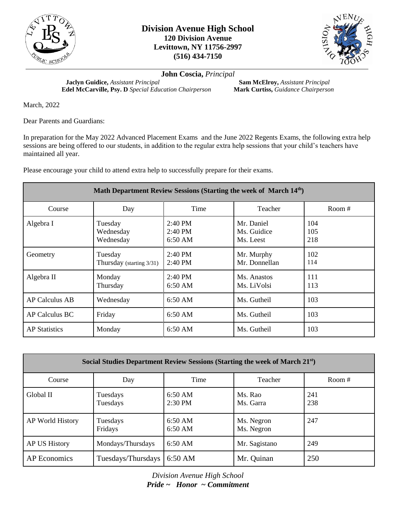



**John Coscia,** *Principal*

**Jaclyn Guidice,** *Assistant Principal*<br> **Calculation Chairperson**<br> **Mark Curtiss,** *Guidance Chairperson*<br> **Mark Curtiss,** *Guidance Chairperson* **Edel McCarville, Psy. D** *Special Education Chairperson* 

March, 2022

Dear Parents and Guardians:

In preparation for the May 2022 Advanced Placement Exams and the June 2022 Regents Exams, the following extra help sessions are being offered to our students, in addition to the regular extra help sessions that your child's teachers have maintained all year.

Please encourage your child to attend extra help to successfully prepare for their exams.

| Math Department Review Sessions (Starting the week of March 14 <sup>th</sup> ) |                                     |                                                             |                                        |                   |
|--------------------------------------------------------------------------------|-------------------------------------|-------------------------------------------------------------|----------------------------------------|-------------------|
| Course                                                                         | Day                                 | Time                                                        | Teacher                                | Room $#$          |
| Algebra I                                                                      | Tuesday<br>Wednesday<br>Wednesday   | $2:40 \text{ PM}$<br>$2:40 \text{ PM}$<br>$6:50 \text{ AM}$ | Mr. Daniel<br>Ms. Guidice<br>Ms. Leest | 104<br>105<br>218 |
| Geometry                                                                       | Tuesday<br>Thursday (starting 3/31) | $2:40 \text{ PM}$<br>$2:40 \text{ PM}$                      | Mr. Murphy<br>Mr. Donnellan            | 102<br>114        |
| Algebra II                                                                     | Monday<br>Thursday                  | $2:40 \text{ PM}$<br>$6:50 \text{ AM}$                      | Ms. Anastos<br>Ms. LiVolsi             | 111<br>113        |
| <b>AP Calculus AB</b>                                                          | Wednesday                           | $6:50 \text{ AM}$                                           | Ms. Gutheil                            | 103               |
| AP Calculus BC                                                                 | Friday                              | $6:50 \text{ AM}$                                           | Ms. Gutheil                            | 103               |
| <b>AP</b> Statistics                                                           | Monday                              | $6:50 \text{ AM}$                                           | Ms. Gutheil                            | 103               |

| Social Studies Department Review Sessions (Starting the week of March 21 <sup>st</sup> ) |                      |                                |                          |            |  |
|------------------------------------------------------------------------------------------|----------------------|--------------------------------|--------------------------|------------|--|
| Course                                                                                   | Day                  | Time                           | Teacher                  | Room $#$   |  |
| Global II                                                                                | Tuesdays<br>Tuesdays | $6:50 \text{ AM}$<br>2:30 PM   | Ms. Rao<br>Ms. Garra     | 241<br>238 |  |
| AP World History                                                                         | Tuesdays<br>Fridays  | $6:50 \text{ AM}$<br>$6:50$ AM | Ms. Negron<br>Ms. Negron | 247        |  |
| AP US History                                                                            | Mondays/Thursdays    | $6:50$ AM                      | Mr. Sagistano            | 249        |  |
| AP Economics                                                                             | Tuesdays/Thursdays   | 6:50 AM                        | Mr. Quinan               | 250        |  |

*Division Avenue High School Pride ~ Honor ~ Commitment*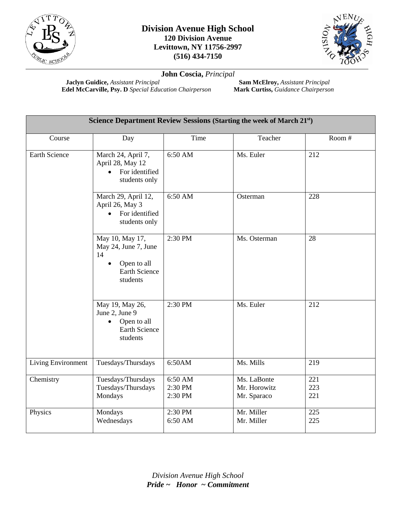

## **Division Avenue High School 120 Division Avenue Levittown, NY 11756-2997 (516) 434-7150**



**John Coscia,** *Principal*

**Jaclyn Guidice,** *Assistant Principal*<br> **Calculation Chairperson**<br> **Calculation Chairperson**<br> **Mark Curtiss,** *Guidance Chairperson* **Edel McCarville, Psy. D** *Special Education Chairperson* 

| Science Department Review Sessions (Starting the week of March 21st) |                                                                                                  |                               |                                            |                   |
|----------------------------------------------------------------------|--------------------------------------------------------------------------------------------------|-------------------------------|--------------------------------------------|-------------------|
| Course                                                               | Day                                                                                              | Time                          | Teacher                                    | Room #            |
| <b>Earth Science</b>                                                 | March 24, April 7,<br>April 28, May 12<br>For identified<br>students only                        | 6:50 AM                       | Ms. Euler                                  | 212               |
|                                                                      | March 29, April 12,<br>April 26, May 3<br>For identified<br>students only                        | 6:50 AM                       | Osterman                                   | 228               |
|                                                                      | May 10, May 17,<br>May 24, June 7, June<br>14<br>Open to all<br><b>Earth Science</b><br>students | 2:30 PM                       | Ms. Osterman                               | 28                |
|                                                                      | May 19, May 26,<br>June 2, June 9<br>Open to all<br>$\bullet$<br>Earth Science<br>students       | 2:30 PM                       | Ms. Euler                                  | 212               |
| Living Environment                                                   | Tuesdays/Thursdays                                                                               | 6:50AM                        | Ms. Mills                                  | 219               |
| Chemistry                                                            | Tuesdays/Thursdays<br>Tuesdays/Thursdays<br>Mondays                                              | 6:50 AM<br>2:30 PM<br>2:30 PM | Ms. LaBonte<br>Mr. Horowitz<br>Mr. Sparaco | 221<br>223<br>221 |
| Physics                                                              | Mondays<br>Wednesdays                                                                            | 2:30 PM<br>6:50 AM            | Mr. Miller<br>Mr. Miller                   | 225<br>225        |